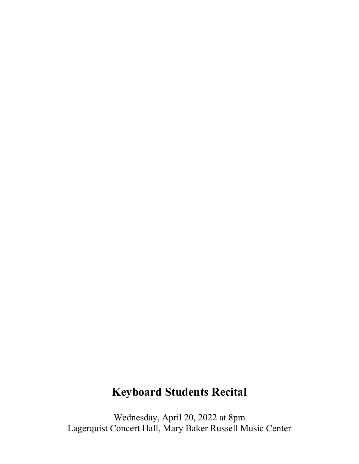# **Keyboard Students Recital**

Wednesday, April 20, 2022 at 8pm Lagerquist Concert Hall, Mary Baker Russell Music Center